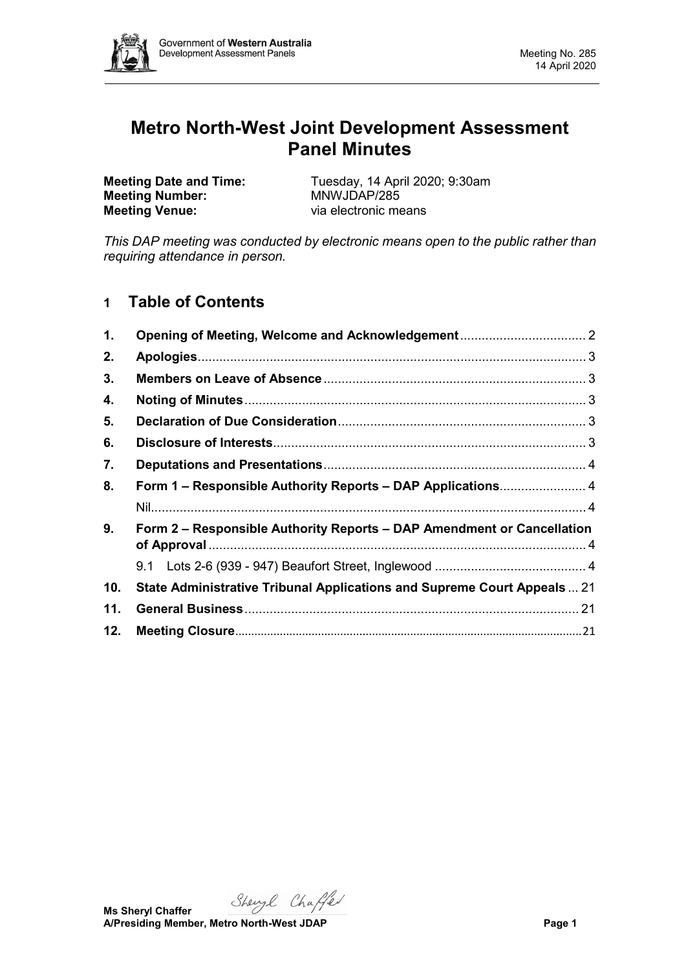

# **Metro North-West Joint Development Assessment Panel Minutes**

**Meeting Number: Meeting Venue:** via electronic means

**Meeting Date and Time:** Tuesday, 14 April 2020; 9:30am<br> **Meeting Number:** MNWJDAP/285

*This DAP meeting was conducted by electronic means open to the public rather than requiring attendance in person.*

# **1 Table of Contents**

| 1.  |                                                                          |  |  |  |
|-----|--------------------------------------------------------------------------|--|--|--|
| 2.  |                                                                          |  |  |  |
| 3.  |                                                                          |  |  |  |
| 4.  |                                                                          |  |  |  |
| 5.  |                                                                          |  |  |  |
| 6.  |                                                                          |  |  |  |
| 7.  |                                                                          |  |  |  |
| 8.  | Form 1 – Responsible Authority Reports – DAP Applications 4              |  |  |  |
|     |                                                                          |  |  |  |
| 9.  | Form 2 – Responsible Authority Reports – DAP Amendment or Cancellation   |  |  |  |
|     |                                                                          |  |  |  |
| 10. | State Administrative Tribunal Applications and Supreme Court Appeals  21 |  |  |  |
| 11. |                                                                          |  |  |  |
| 12. |                                                                          |  |  |  |

Shengl Chaffer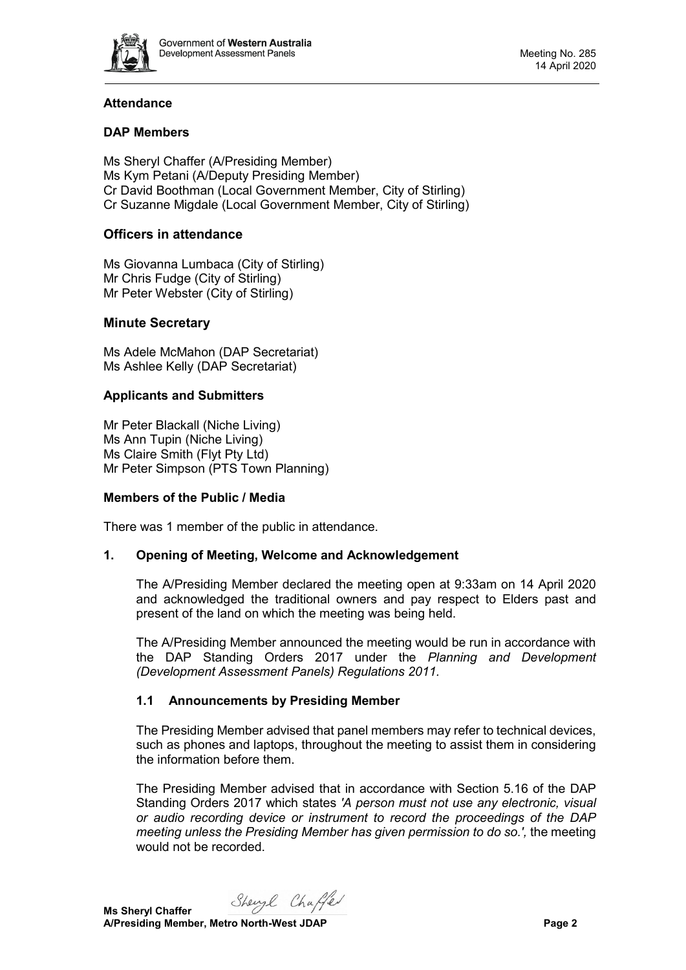

# **Attendance**

# **DAP Members**

Ms Sheryl Chaffer (A/Presiding Member) Ms Kym Petani (A/Deputy Presiding Member) Cr David Boothman (Local Government Member, City of Stirling) Cr Suzanne Migdale (Local Government Member, City of Stirling)

# **Officers in attendance**

Ms Giovanna Lumbaca (City of Stirling) Mr Chris Fudge (City of Stirling) Mr Peter Webster (City of Stirling)

## **Minute Secretary**

Ms Adele McMahon (DAP Secretariat) Ms Ashlee Kelly (DAP Secretariat)

## **Applicants and Submitters**

Mr Peter Blackall (Niche Living) Ms Ann Tupin (Niche Living) Ms Claire Smith (Flyt Pty Ltd) Mr Peter Simpson (PTS Town Planning)

## **Members of the Public / Media**

<span id="page-1-0"></span>There was 1 member of the public in attendance.

## **1. Opening of Meeting, Welcome and Acknowledgement**

The A/Presiding Member declared the meeting open at 9:33am on 14 April 2020 and acknowledged the traditional owners and pay respect to Elders past and present of the land on which the meeting was being held.

The A/Presiding Member announced the meeting would be run in accordance with the DAP Standing Orders 2017 under the *Planning and Development (Development Assessment Panels) Regulations 2011.*

## **1.1 Announcements by Presiding Member**

The Presiding Member advised that panel members may refer to technical devices, such as phones and laptops, throughout the meeting to assist them in considering the information before them.

The Presiding Member advised that in accordance with Section 5.16 of the DAP Standing Orders 2017 which states *'A person must not use any electronic, visual or audio recording device or instrument to record the proceedings of the DAP meeting unless the Presiding Member has given permission to do so.',* the meeting would not be recorded.

Shengl Chaffer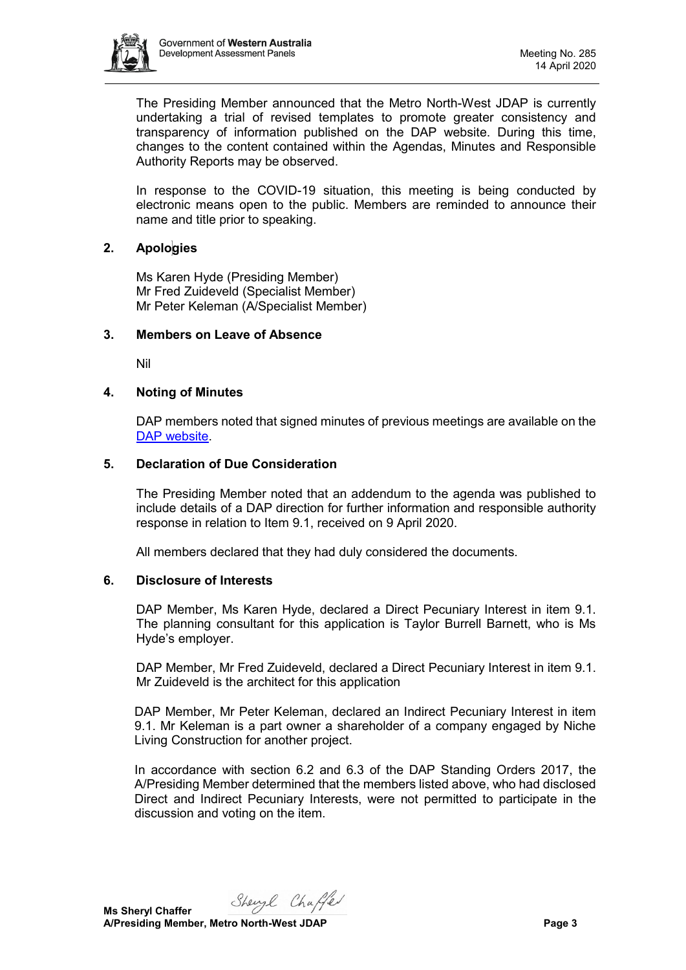

The Presiding Member announced that the Metro North-West JDAP is currently undertaking a trial of revised templates to promote greater consistency and transparency of information published on the DAP website. During this time, changes to the content contained within the Agendas, Minutes and Responsible Authority Reports may be observed.

In response to the COVID-19 situation, this meeting is being conducted by electronic means open to the public. Members are reminded to announce their name and title prior to speaking.

## <span id="page-2-0"></span>**2. Apologies**

Ms Karen Hyde (Presiding Member) Mr Fred Zuideveld (Specialist Member) Mr Peter Keleman (A/Specialist Member)

#### <span id="page-2-1"></span>**3. Members on Leave of Absence**

Nil

#### <span id="page-2-2"></span>**4. Noting of Minutes**

DAP members noted that signed minutes of previous meetings are available on the [DAP website.](https://www.dplh.wa.gov.au/about/development-assessment-panels/daps-agendas-and-minutes)

#### <span id="page-2-3"></span>**5. Declaration of Due Consideration**

The Presiding Member noted that an addendum to the agenda was published to include details of a DAP direction for further information and responsible authority response in relation to Item 9.1, received on 9 April 2020.

All members declared that they had duly considered the documents.

#### <span id="page-2-4"></span>**6. Disclosure of Interests**

DAP Member, Ms Karen Hyde, declared a Direct Pecuniary Interest in item 9.1. The planning consultant for this application is Taylor Burrell Barnett, who is Ms Hyde's employer.

DAP Member, Mr Fred Zuideveld, declared a Direct Pecuniary Interest in item 9.1. Mr Zuideveld is the architect for this application

DAP Member, Mr Peter Keleman, declared an Indirect Pecuniary Interest in item 9.1. Mr Keleman is a part owner a shareholder of a company engaged by Niche Living Construction for another project.

In accordance with section 6.2 and 6.3 of the DAP Standing Orders 2017, the A/Presiding Member determined that the members listed above, who had disclosed Direct and Indirect Pecuniary Interests, were not permitted to participate in the discussion and voting on the item.

Shengl Chaffer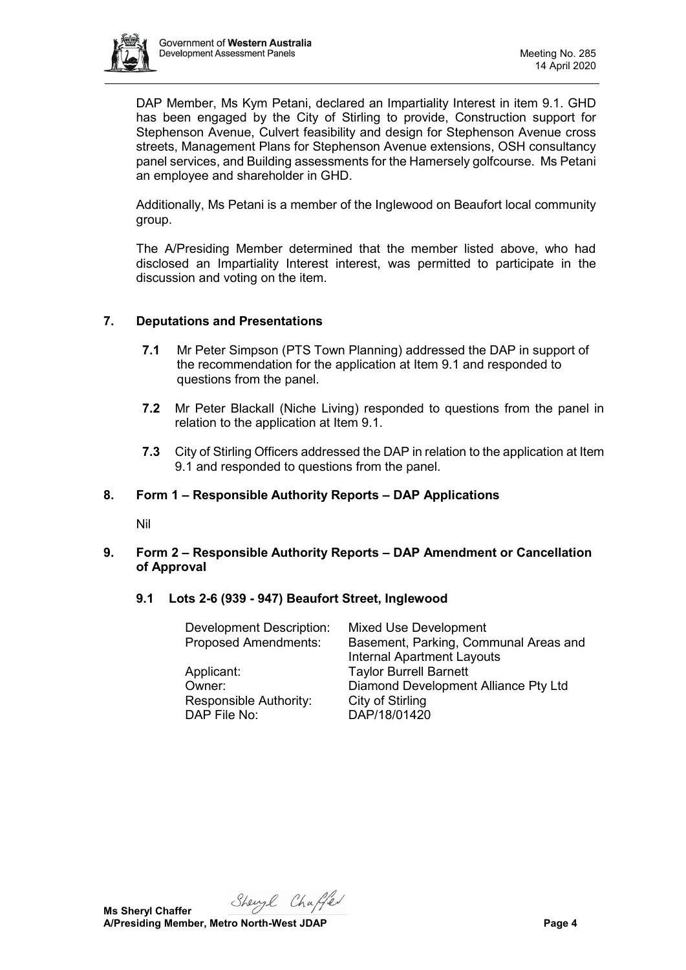

DAP Member, Ms Kym Petani, declared an Impartiality Interest in item 9.1. GHD has been engaged by the City of Stirling to provide, Construction support for Stephenson Avenue, Culvert feasibility and design for Stephenson Avenue cross streets, Management Plans for Stephenson Avenue extensions, OSH consultancy panel services, and Building assessments for the Hamersely golfcourse. Ms Petani an employee and shareholder in GHD.

Additionally, Ms Petani is a member of the Inglewood on Beaufort local community group.

The A/Presiding Member determined that the member listed above, who had disclosed an Impartiality Interest interest, was permitted to participate in the discussion and voting on the item.

# <span id="page-3-0"></span>**7. Deputations and Presentations**

- **7.1** Mr Peter Simpson (PTS Town Planning) addressed the DAP in support of the recommendation for the application at Item 9.1 and responded to questions from the panel.
- **7.2** Mr Peter Blackall (Niche Living) responded to questions from the panel in relation to the application at Item 9.1.
- **7.3** City of Stirling Officers addressed the DAP in relation to the application at Item 9.1 and responded to questions from the panel.

## <span id="page-3-1"></span>**8. Form 1 – Responsible Authority Reports – DAP Applications**

Nil

## <span id="page-3-3"></span><span id="page-3-2"></span>**9. Form 2 – Responsible Authority Reports – DAP Amendment or Cancellation of Approval**

<span id="page-3-4"></span>**9.1 Lots 2-6 (939 - 947) Beaufort Street, Inglewood**

| Development Description:    | <b>Mixed Use Development</b>          |
|-----------------------------|---------------------------------------|
| <b>Proposed Amendments:</b> | Basement, Parking, Communal Areas and |
|                             | <b>Internal Apartment Layouts</b>     |
| Applicant:                  | <b>Taylor Burrell Barnett</b>         |
| Owner:                      | Diamond Development Alliance Pty Ltd  |
| Responsible Authority:      | City of Stirling                      |
| DAP File No:                | DAP/18/01420                          |

Shengl Chaffer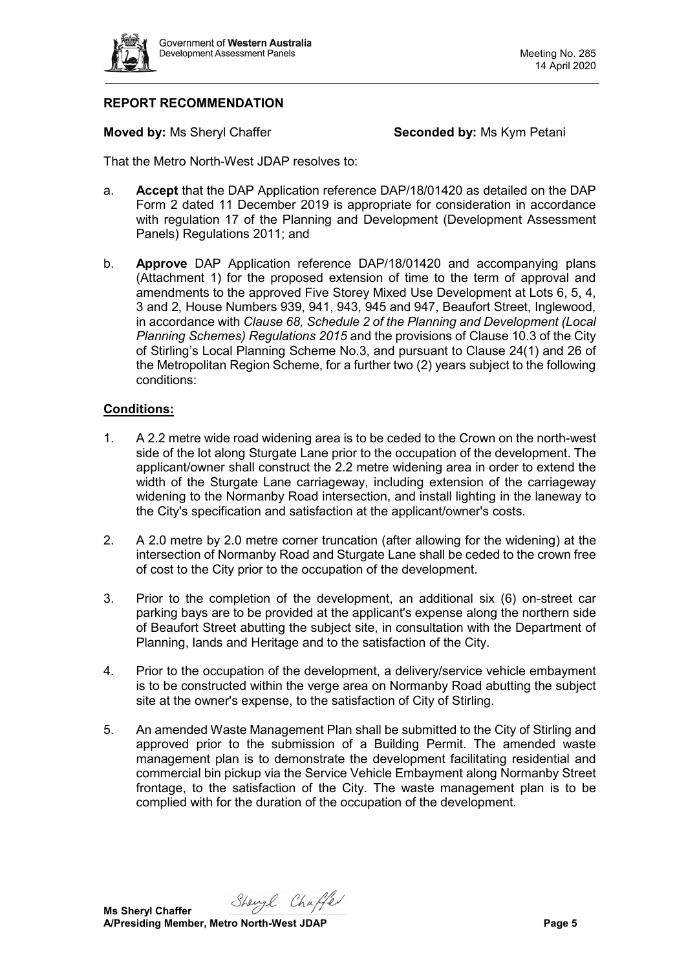

# **REPORT RECOMMENDATION**

**Moved by: Ms Sheryl Chaffer <b>Seconded by:** Ms Kym Petani

That the Metro North-West JDAP resolves to:

- a. **Accept** that the DAP Application reference DAP/18/01420 as detailed on the DAP Form 2 dated 11 December 2019 is appropriate for consideration in accordance with regulation 17 of the Planning and Development (Development Assessment Panels) Regulations 2011; and
- b. **Approve** DAP Application reference DAP/18/01420 and accompanying plans (Attachment 1) for the proposed extension of time to the term of approval and amendments to the approved Five Storey Mixed Use Development at Lots 6, 5, 4, 3 and 2, House Numbers 939, 941, 943, 945 and 947, Beaufort Street, Inglewood, in accordance with *Clause 68, Schedule 2 of the Planning and Development (Local Planning Schemes) Regulations 2015* and the provisions of Clause 10.3 of the City of Stirling's Local Planning Scheme No.3, and pursuant to Clause 24(1) and 26 of the Metropolitan Region Scheme, for a further two (2) years subject to the following conditions:

#### **Conditions:**

- 1. A 2.2 metre wide road widening area is to be ceded to the Crown on the north-west side of the lot along Sturgate Lane prior to the occupation of the development. The applicant/owner shall construct the 2.2 metre widening area in order to extend the width of the Sturgate Lane carriageway, including extension of the carriageway widening to the Normanby Road intersection, and install lighting in the laneway to the City's specification and satisfaction at the applicant/owner's costs.
- 2. A 2.0 metre by 2.0 metre corner truncation (after allowing for the widening) at the intersection of Normanby Road and Sturgate Lane shall be ceded to the crown free of cost to the City prior to the occupation of the development.
- 3. Prior to the completion of the development, an additional six (6) on-street car parking bays are to be provided at the applicant's expense along the northern side of Beaufort Street abutting the subject site, in consultation with the Department of Planning, lands and Heritage and to the satisfaction of the City.
- 4. Prior to the occupation of the development, a delivery/service vehicle embayment is to be constructed within the verge area on Normanby Road abutting the subject site at the owner's expense, to the satisfaction of City of Stirling.
- 5. An amended Waste Management Plan shall be submitted to the City of Stirling and approved prior to the submission of a Building Permit. The amended waste management plan is to demonstrate the development facilitating residential and commercial bin pickup via the Service Vehicle Embayment along Normanby Street frontage, to the satisfaction of the City. The waste management plan is to be complied with for the duration of the occupation of the development.

Shengl Chaffer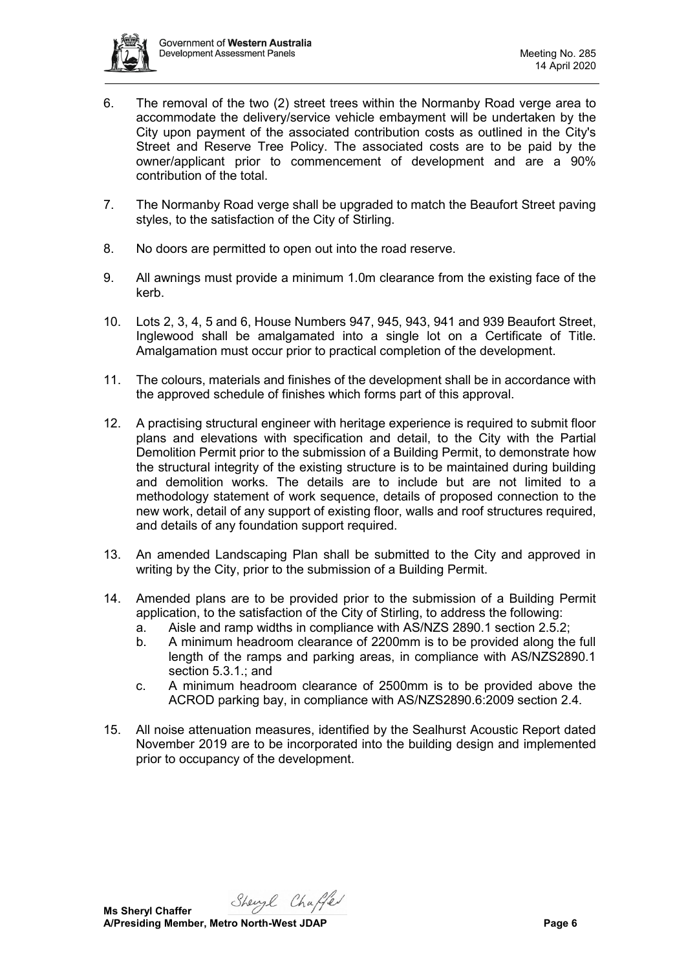

- 6. The removal of the two (2) street trees within the Normanby Road verge area to accommodate the delivery/service vehicle embayment will be undertaken by the City upon payment of the associated contribution costs as outlined in the City's Street and Reserve Tree Policy. The associated costs are to be paid by the owner/applicant prior to commencement of development and are a 90% contribution of the total.
- 7. The Normanby Road verge shall be upgraded to match the Beaufort Street paving styles, to the satisfaction of the City of Stirling.
- 8. No doors are permitted to open out into the road reserve.
- 9. All awnings must provide a minimum 1.0m clearance from the existing face of the kerb.
- 10. Lots 2, 3, 4, 5 and 6, House Numbers 947, 945, 943, 941 and 939 Beaufort Street, Inglewood shall be amalgamated into a single lot on a Certificate of Title. Amalgamation must occur prior to practical completion of the development.
- 11. The colours, materials and finishes of the development shall be in accordance with the approved schedule of finishes which forms part of this approval.
- 12. A practising structural engineer with heritage experience is required to submit floor plans and elevations with specification and detail, to the City with the Partial Demolition Permit prior to the submission of a Building Permit, to demonstrate how the structural integrity of the existing structure is to be maintained during building and demolition works. The details are to include but are not limited to a methodology statement of work sequence, details of proposed connection to the new work, detail of any support of existing floor, walls and roof structures required, and details of any foundation support required.
- 13. An amended Landscaping Plan shall be submitted to the City and approved in writing by the City, prior to the submission of a Building Permit.
- 14. Amended plans are to be provided prior to the submission of a Building Permit application, to the satisfaction of the City of Stirling, to address the following:
	- a. Aisle and ramp widths in compliance with AS/NZS 2890.1 section 2.5.2;
	- b. A minimum headroom clearance of 2200mm is to be provided along the full length of the ramps and parking areas, in compliance with AS/NZS2890.1 section 5.3.1.; and
	- c. A minimum headroom clearance of 2500mm is to be provided above the ACROD parking bay, in compliance with AS/NZS2890.6:2009 section 2.4.
- 15. All noise attenuation measures, identified by the Sealhurst Acoustic Report dated November 2019 are to be incorporated into the building design and implemented prior to occupancy of the development.

Shengl Chaffer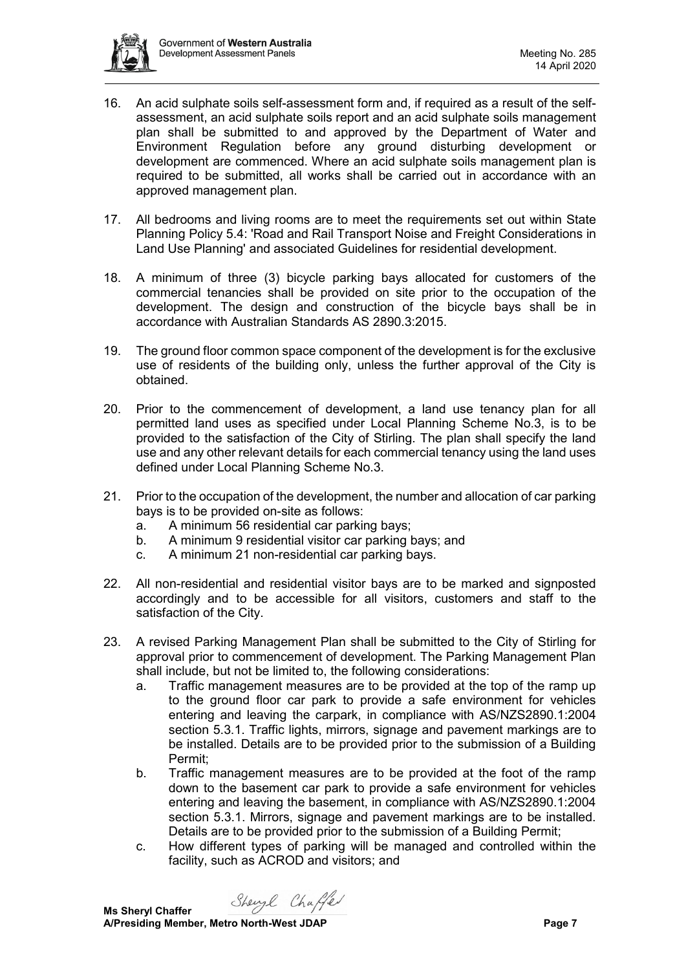

- 16. An acid sulphate soils self-assessment form and, if required as a result of the selfassessment, an acid sulphate soils report and an acid sulphate soils management plan shall be submitted to and approved by the Department of Water and Environment Regulation before any ground disturbing development or development are commenced. Where an acid sulphate soils management plan is required to be submitted, all works shall be carried out in accordance with an approved management plan.
- 17. All bedrooms and living rooms are to meet the requirements set out within State Planning Policy 5.4: 'Road and Rail Transport Noise and Freight Considerations in Land Use Planning' and associated Guidelines for residential development.
- 18. A minimum of three (3) bicycle parking bays allocated for customers of the commercial tenancies shall be provided on site prior to the occupation of the development. The design and construction of the bicycle bays shall be in accordance with Australian Standards AS 2890.3:2015.
- 19. The ground floor common space component of the development is for the exclusive use of residents of the building only, unless the further approval of the City is obtained.
- 20. Prior to the commencement of development, a land use tenancy plan for all permitted land uses as specified under Local Planning Scheme No.3, is to be provided to the satisfaction of the City of Stirling. The plan shall specify the land use and any other relevant details for each commercial tenancy using the land uses defined under Local Planning Scheme No.3.
- 21. Prior to the occupation of the development, the number and allocation of car parking bays is to be provided on-site as follows:
	- a. A minimum 56 residential car parking bays;
	- b. A minimum 9 residential visitor car parking bays; and
	- c. A minimum 21 non-residential car parking bays.
- 22. All non-residential and residential visitor bays are to be marked and signposted accordingly and to be accessible for all visitors, customers and staff to the satisfaction of the City.
- 23. A revised Parking Management Plan shall be submitted to the City of Stirling for approval prior to commencement of development. The Parking Management Plan shall include, but not be limited to, the following considerations:
	- a. Traffic management measures are to be provided at the top of the ramp up to the ground floor car park to provide a safe environment for vehicles entering and leaving the carpark, in compliance with AS/NZS2890.1:2004 section 5.3.1. Traffic lights, mirrors, signage and pavement markings are to be installed. Details are to be provided prior to the submission of a Building Permit;
	- b. Traffic management measures are to be provided at the foot of the ramp down to the basement car park to provide a safe environment for vehicles entering and leaving the basement, in compliance with AS/NZS2890.1:2004 section 5.3.1. Mirrors, signage and pavement markings are to be installed. Details are to be provided prior to the submission of a Building Permit;
	- c. How different types of parking will be managed and controlled within the facility, such as ACROD and visitors; and

Shengl Chaffer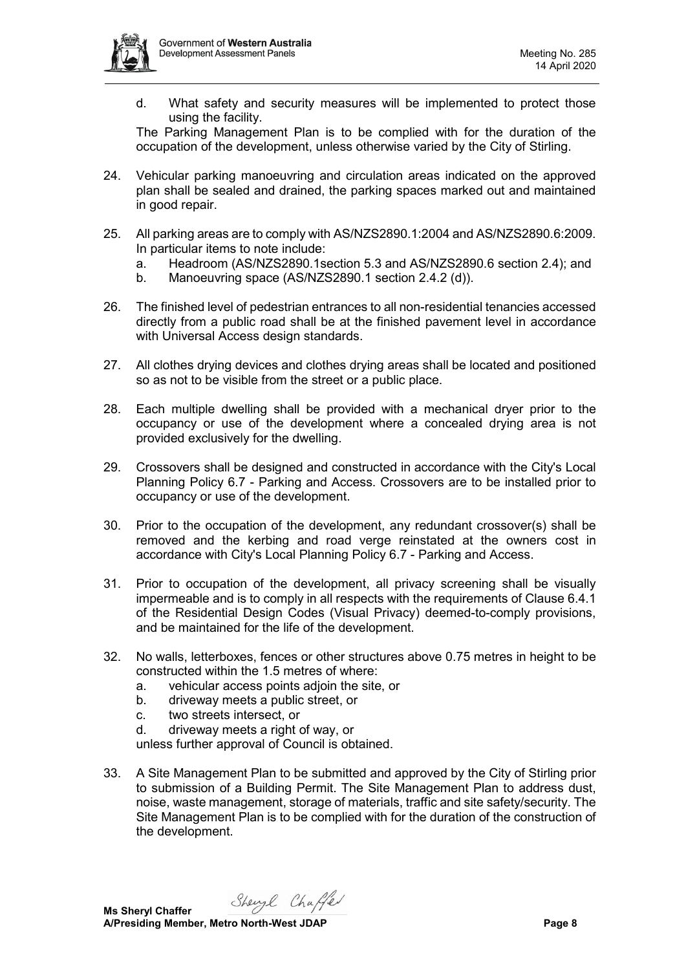

d. What safety and security measures will be implemented to protect those using the facility.

The Parking Management Plan is to be complied with for the duration of the occupation of the development, unless otherwise varied by the City of Stirling.

- 24. Vehicular parking manoeuvring and circulation areas indicated on the approved plan shall be sealed and drained, the parking spaces marked out and maintained in good repair.
- 25. All parking areas are to comply with AS/NZS2890.1:2004 and AS/NZS2890.6:2009. In particular items to note include:
	- a. Headroom (AS/NZS2890.1section 5.3 and AS/NZS2890.6 section 2.4); and
	- b. Manoeuvring space (AS/NZS2890.1 section 2.4.2 (d)).
- 26. The finished level of pedestrian entrances to all non-residential tenancies accessed directly from a public road shall be at the finished pavement level in accordance with Universal Access design standards.
- 27. All clothes drying devices and clothes drying areas shall be located and positioned so as not to be visible from the street or a public place.
- 28. Each multiple dwelling shall be provided with a mechanical dryer prior to the occupancy or use of the development where a concealed drying area is not provided exclusively for the dwelling.
- 29. Crossovers shall be designed and constructed in accordance with the City's Local Planning Policy 6.7 - Parking and Access. Crossovers are to be installed prior to occupancy or use of the development.
- 30. Prior to the occupation of the development, any redundant crossover(s) shall be removed and the kerbing and road verge reinstated at the owners cost in accordance with City's Local Planning Policy 6.7 - Parking and Access.
- 31. Prior to occupation of the development, all privacy screening shall be visually impermeable and is to comply in all respects with the requirements of Clause 6.4.1 of the Residential Design Codes (Visual Privacy) deemed-to-comply provisions, and be maintained for the life of the development.
- 32. No walls, letterboxes, fences or other structures above 0.75 metres in height to be constructed within the 1.5 metres of where:
	- a. vehicular access points adjoin the site, or
	- b. driveway meets a public street, or
	- c. two streets intersect, or
	- d. driveway meets a right of way, or

unless further approval of Council is obtained.

33. A Site Management Plan to be submitted and approved by the City of Stirling prior to submission of a Building Permit. The Site Management Plan to address dust, noise, waste management, storage of materials, traffic and site safety/security. The Site Management Plan is to be complied with for the duration of the construction of the development.

Shengl Chaffer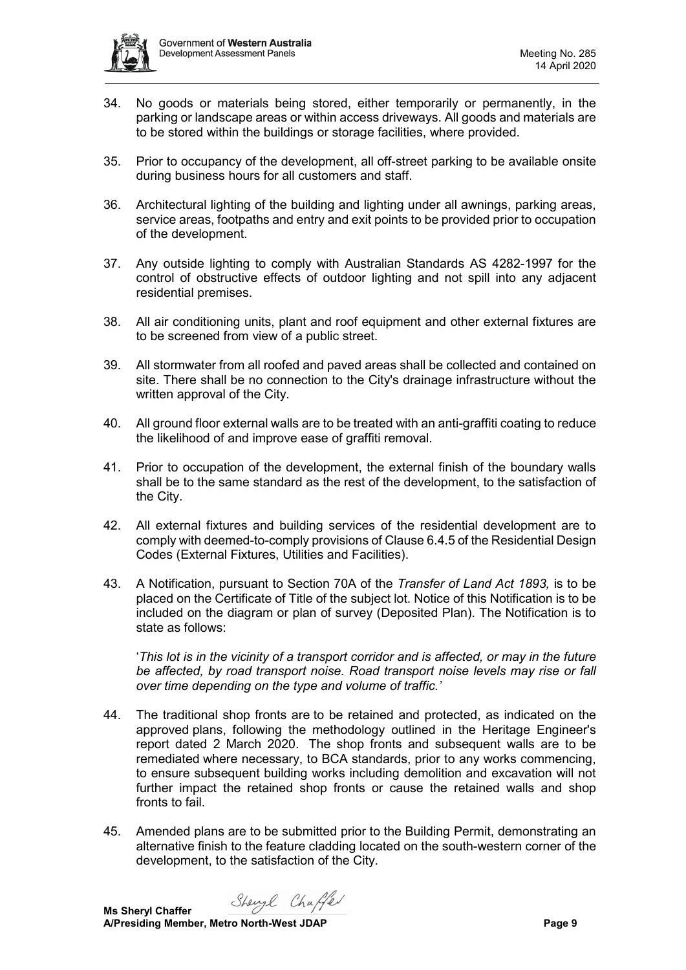

- 34. No goods or materials being stored, either temporarily or permanently, in the parking or landscape areas or within access driveways. All goods and materials are to be stored within the buildings or storage facilities, where provided.
- 35. Prior to occupancy of the development, all off-street parking to be available onsite during business hours for all customers and staff.
- 36. Architectural lighting of the building and lighting under all awnings, parking areas, service areas, footpaths and entry and exit points to be provided prior to occupation of the development.
- 37. Any outside lighting to comply with Australian Standards AS 4282-1997 for the control of obstructive effects of outdoor lighting and not spill into any adjacent residential premises.
- 38. All air conditioning units, plant and roof equipment and other external fixtures are to be screened from view of a public street.
- 39. All stormwater from all roofed and paved areas shall be collected and contained on site. There shall be no connection to the City's drainage infrastructure without the written approval of the City.
- 40. All ground floor external walls are to be treated with an anti-graffiti coating to reduce the likelihood of and improve ease of graffiti removal.
- 41. Prior to occupation of the development, the external finish of the boundary walls shall be to the same standard as the rest of the development, to the satisfaction of the City.
- 42. All external fixtures and building services of the residential development are to comply with deemed-to-comply provisions of Clause 6.4.5 of the Residential Design Codes (External Fixtures, Utilities and Facilities).
- 43. A Notification, pursuant to Section 70A of the *Transfer of Land Act 1893,* is to be placed on the Certificate of Title of the subject lot. Notice of this Notification is to be included on the diagram or plan of survey (Deposited Plan). The Notification is to state as follows:

'*This lot is in the vicinity of a transport corridor and is affected, or may in the future be affected, by road transport noise. Road transport noise levels may rise or fall over time depending on the type and volume of traffic.'*

- 44. The traditional shop fronts are to be retained and protected, as indicated on the approved plans, following the methodology outlined in the Heritage Engineer's report dated 2 March 2020. The shop fronts and subsequent walls are to be remediated where necessary, to BCA standards, prior to any works commencing, to ensure subsequent building works including demolition and excavation will not further impact the retained shop fronts or cause the retained walls and shop fronts to fail.
- 45. Amended plans are to be submitted prior to the Building Permit, demonstrating an alternative finish to the feature cladding located on the south-western corner of the development, to the satisfaction of the City.

Shengl Chaffer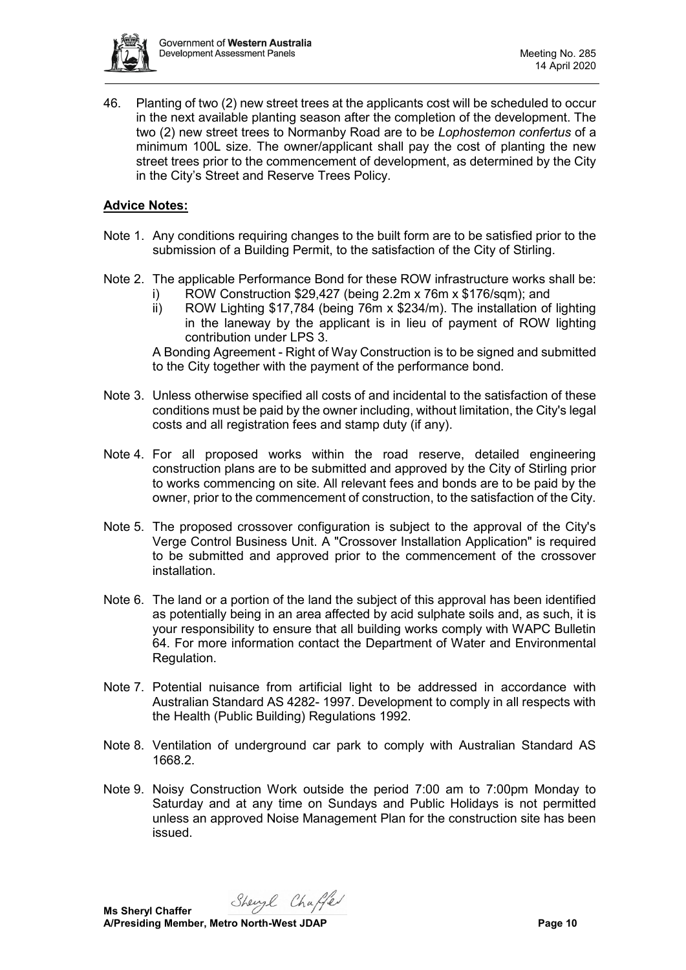

46. Planting of two (2) new street trees at the applicants cost will be scheduled to occur in the next available planting season after the completion of the development. The two (2) new street trees to Normanby Road are to be *Lophostemon confertus* of a minimum 100L size. The owner/applicant shall pay the cost of planting the new street trees prior to the commencement of development, as determined by the City in the City's Street and Reserve Trees Policy.

## **Advice Notes:**

- Note 1. Any conditions requiring changes to the built form are to be satisfied prior to the submission of a Building Permit, to the satisfaction of the City of Stirling.
- Note 2. The applicable Performance Bond for these ROW infrastructure works shall be:
	- i) ROW Construction \$29,427 (being 2.2m x 76m x \$176/sqm); and
		- ii) ROW Lighting \$17,784 (being 76m x \$234/m). The installation of lighting in the laneway by the applicant is in lieu of payment of ROW lighting contribution under LPS 3.

A Bonding Agreement - Right of Way Construction is to be signed and submitted to the City together with the payment of the performance bond.

- Note 3. Unless otherwise specified all costs of and incidental to the satisfaction of these conditions must be paid by the owner including, without limitation, the City's legal costs and all registration fees and stamp duty (if any).
- Note 4. For all proposed works within the road reserve, detailed engineering construction plans are to be submitted and approved by the City of Stirling prior to works commencing on site. All relevant fees and bonds are to be paid by the owner, prior to the commencement of construction, to the satisfaction of the City.
- Note 5. The proposed crossover configuration is subject to the approval of the City's Verge Control Business Unit. A "Crossover Installation Application" is required to be submitted and approved prior to the commencement of the crossover installation.
- Note 6. The land or a portion of the land the subject of this approval has been identified as potentially being in an area affected by acid sulphate soils and, as such, it is your responsibility to ensure that all building works comply with WAPC Bulletin 64. For more information contact the Department of Water and Environmental Regulation.
- Note 7. Potential nuisance from artificial light to be addressed in accordance with Australian Standard AS 4282- 1997. Development to comply in all respects with the Health (Public Building) Regulations 1992.
- Note 8. Ventilation of underground car park to comply with Australian Standard AS 1668.2.
- Note 9. Noisy Construction Work outside the period 7:00 am to 7:00pm Monday to Saturday and at any time on Sundays and Public Holidays is not permitted unless an approved Noise Management Plan for the construction site has been issued.

Shengl Chaffer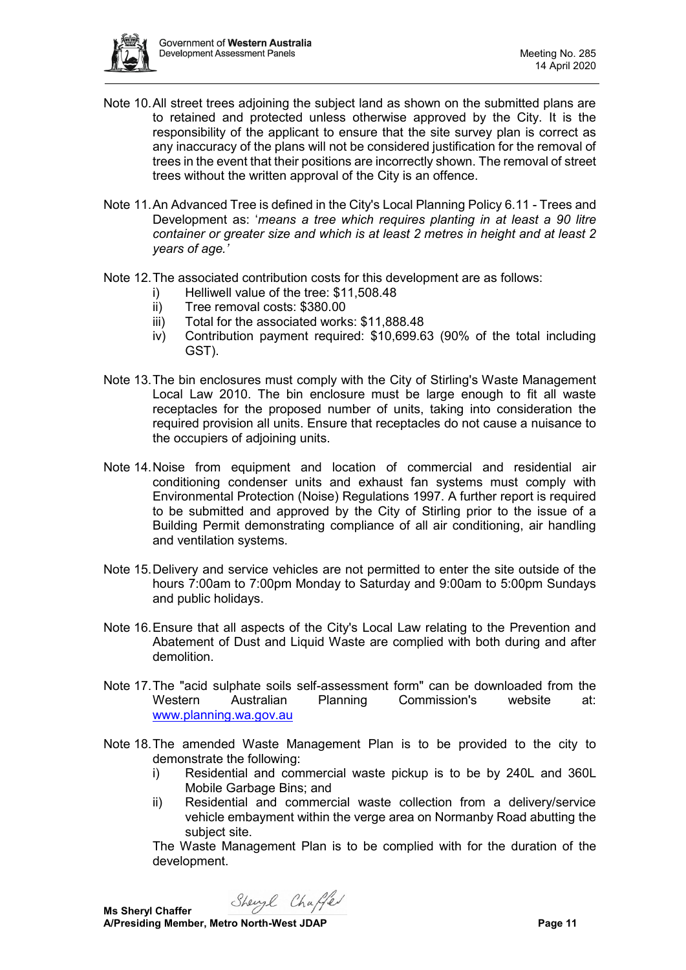

- Note 10.All street trees adjoining the subject land as shown on the submitted plans are to retained and protected unless otherwise approved by the City. It is the responsibility of the applicant to ensure that the site survey plan is correct as any inaccuracy of the plans will not be considered justification for the removal of trees in the event that their positions are incorrectly shown. The removal of street trees without the written approval of the City is an offence.
- Note 11.An Advanced Tree is defined in the City's Local Planning Policy 6.11 Trees and Development as: '*means a tree which requires planting in at least a 90 litre container or greater size and which is at least 2 metres in height and at least 2 years of age.'*
- Note 12.The associated contribution costs for this development are as follows:
	- i) Helliwell value of the tree: \$11,508.48
	- ii) Tree removal costs: \$380.00
	- iii) Total for the associated works: \$11,888.48
	- iv) Contribution payment required: \$10,699.63 (90% of the total including GST).
- Note 13.The bin enclosures must comply with the City of Stirling's Waste Management Local Law 2010. The bin enclosure must be large enough to fit all waste receptacles for the proposed number of units, taking into consideration the required provision all units. Ensure that receptacles do not cause a nuisance to the occupiers of adjoining units.
- Note 14.Noise from equipment and location of commercial and residential air conditioning condenser units and exhaust fan systems must comply with Environmental Protection (Noise) Regulations 1997. A further report is required to be submitted and approved by the City of Stirling prior to the issue of a Building Permit demonstrating compliance of all air conditioning, air handling and ventilation systems.
- Note 15.Delivery and service vehicles are not permitted to enter the site outside of the hours 7:00am to 7:00pm Monday to Saturday and 9:00am to 5:00pm Sundays and public holidays.
- Note 16.Ensure that all aspects of the City's Local Law relating to the Prevention and Abatement of Dust and Liquid Waste are complied with both during and after demolition.
- Note 17.The "acid sulphate soils self-assessment form" can be downloaded from the Western Australian Planning Commission's website at: [www.planning.wa.gov.au](http://www.planning.wa.gov.au/)
- Note 18.The amended Waste Management Plan is to be provided to the city to demonstrate the following:
	- i) Residential and commercial waste pickup is to be by 240L and 360L Mobile Garbage Bins; and
	- ii) Residential and commercial waste collection from a delivery/service vehicle embayment within the verge area on Normanby Road abutting the subject site.

The Waste Management Plan is to be complied with for the duration of the development.

Shengl Chaffer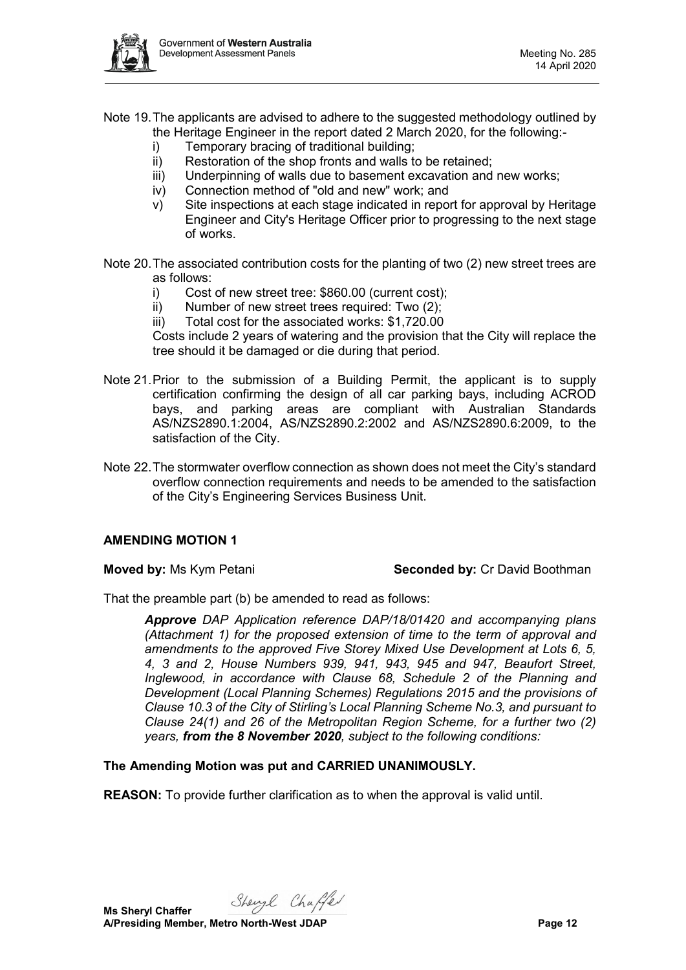

- Note 19.The applicants are advised to adhere to the suggested methodology outlined by the Heritage Engineer in the report dated 2 March 2020, for the following:
	- i) Temporary bracing of traditional building;
	- ii) Restoration of the shop fronts and walls to be retained;
	- iii) Underpinning of walls due to basement excavation and new works;
	- iv) Connection method of "old and new" work; and
	- v) Site inspections at each stage indicated in report for approval by Heritage Engineer and City's Heritage Officer prior to progressing to the next stage of works.
- Note 20.The associated contribution costs for the planting of two (2) new street trees are as follows:
	- i) Cost of new street tree: \$860.00 (current cost);
	- ii) Number of new street trees required: Two (2);
	- iii) Total cost for the associated works: \$1,720.00

Costs include 2 years of watering and the provision that the City will replace the tree should it be damaged or die during that period.

- Note 21.Prior to the submission of a Building Permit, the applicant is to supply certification confirming the design of all car parking bays, including ACROD bays, and parking areas are compliant with Australian Standards AS/NZS2890.1:2004, AS/NZS2890.2:2002 and AS/NZS2890.6:2009, to the satisfaction of the City.
- Note 22.The stormwater overflow connection as shown does not meet the City's standard overflow connection requirements and needs to be amended to the satisfaction of the City's Engineering Services Business Unit.

## **AMENDING MOTION 1**

**Moved by:** Ms Kym Petani **Seconded by:** Cr David Boothman

That the preamble part (b) be amended to read as follows:

*Approve DAP Application reference DAP/18/01420 and accompanying plans (Attachment 1) for the proposed extension of time to the term of approval and amendments to the approved Five Storey Mixed Use Development at Lots 6, 5, 4, 3 and 2, House Numbers 939, 941, 943, 945 and 947, Beaufort Street, Inglewood, in accordance with Clause 68, Schedule 2 of the Planning and Development (Local Planning Schemes) Regulations 2015 and the provisions of Clause 10.3 of the City of Stirling's Local Planning Scheme No.3, and pursuant to Clause 24(1) and 26 of the Metropolitan Region Scheme, for a further two (2) years, from the 8 November 2020, subject to the following conditions:*

**The Amending Motion was put and CARRIED UNANIMOUSLY.**

**REASON:** To provide further clarification as to when the approval is valid until.

Shengl Chaffer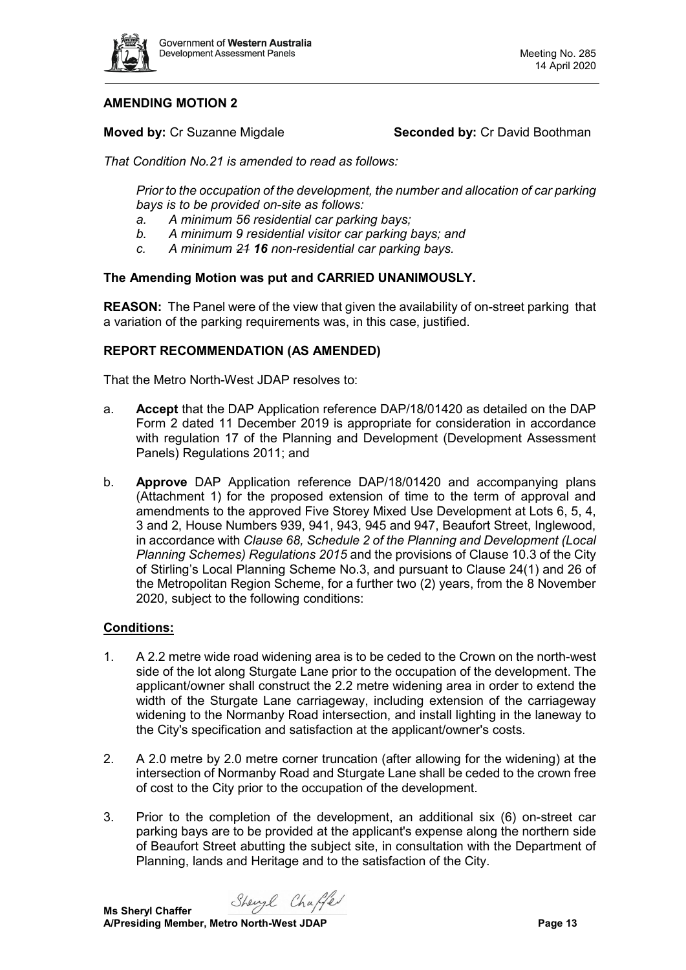

# **AMENDING MOTION 2**

**Moved by:** Cr Suzanne Migdale **Seconded by:** Cr David Boothman

*That Condition No.21 is amended to read as follows:*

*Prior to the occupation of the development, the number and allocation of car parking bays is to be provided on-site as follows:*

- *a. A minimum 56 residential car parking bays;*
- *b. A minimum 9 residential visitor car parking bays; and*
- *c. A minimum 21 16 non-residential car parking bays.*

## **The Amending Motion was put and CARRIED UNANIMOUSLY.**

**REASON:** The Panel were of the view that given the availability of on-street parking that a variation of the parking requirements was, in this case, justified.

#### **REPORT RECOMMENDATION (AS AMENDED)**

That the Metro North-West JDAP resolves to:

- a. **Accept** that the DAP Application reference DAP/18/01420 as detailed on the DAP Form 2 dated 11 December 2019 is appropriate for consideration in accordance with regulation 17 of the Planning and Development (Development Assessment Panels) Regulations 2011; and
- b. **Approve** DAP Application reference DAP/18/01420 and accompanying plans (Attachment 1) for the proposed extension of time to the term of approval and amendments to the approved Five Storey Mixed Use Development at Lots 6, 5, 4, 3 and 2, House Numbers 939, 941, 943, 945 and 947, Beaufort Street, Inglewood, in accordance with *Clause 68, Schedule 2 of the Planning and Development (Local Planning Schemes) Regulations 2015* and the provisions of Clause 10.3 of the City of Stirling's Local Planning Scheme No.3, and pursuant to Clause 24(1) and 26 of the Metropolitan Region Scheme, for a further two (2) years, from the 8 November 2020, subject to the following conditions:

#### **Conditions:**

- 1. A 2.2 metre wide road widening area is to be ceded to the Crown on the north-west side of the lot along Sturgate Lane prior to the occupation of the development. The applicant/owner shall construct the 2.2 metre widening area in order to extend the width of the Sturgate Lane carriageway, including extension of the carriageway widening to the Normanby Road intersection, and install lighting in the laneway to the City's specification and satisfaction at the applicant/owner's costs.
- 2. A 2.0 metre by 2.0 metre corner truncation (after allowing for the widening) at the intersection of Normanby Road and Sturgate Lane shall be ceded to the crown free of cost to the City prior to the occupation of the development.
- 3. Prior to the completion of the development, an additional six (6) on-street car parking bays are to be provided at the applicant's expense along the northern side of Beaufort Street abutting the subject site, in consultation with the Department of Planning, lands and Heritage and to the satisfaction of the City.

Shengl Chaffer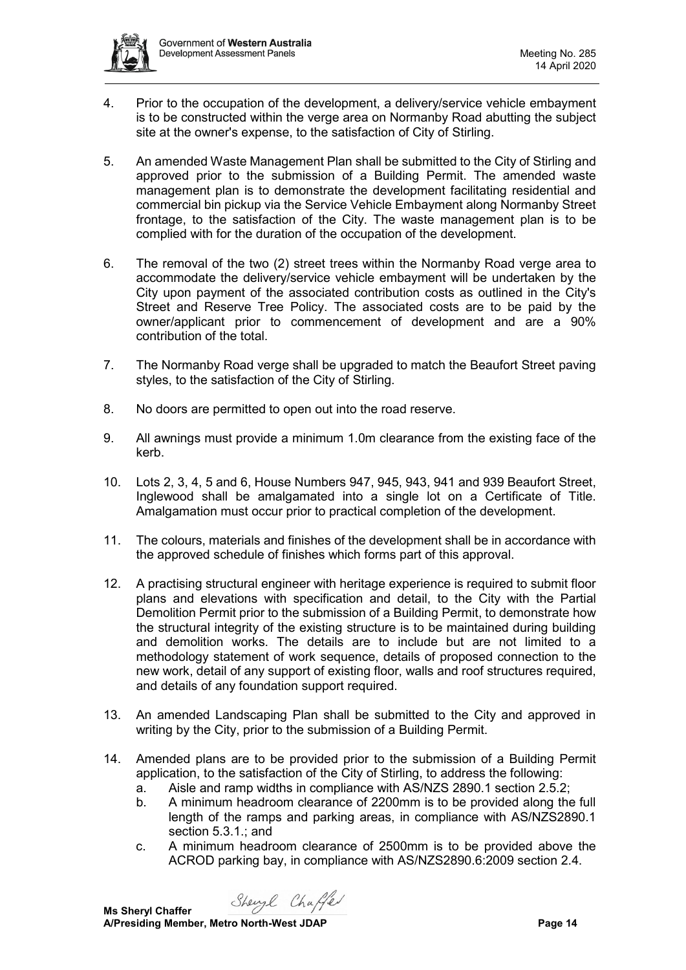- 4. Prior to the occupation of the development, a delivery/service vehicle embayment is to be constructed within the verge area on Normanby Road abutting the subject site at the owner's expense, to the satisfaction of City of Stirling.
- 5. An amended Waste Management Plan shall be submitted to the City of Stirling and approved prior to the submission of a Building Permit. The amended waste management plan is to demonstrate the development facilitating residential and commercial bin pickup via the Service Vehicle Embayment along Normanby Street frontage, to the satisfaction of the City. The waste management plan is to be complied with for the duration of the occupation of the development.
- 6. The removal of the two (2) street trees within the Normanby Road verge area to accommodate the delivery/service vehicle embayment will be undertaken by the City upon payment of the associated contribution costs as outlined in the City's Street and Reserve Tree Policy. The associated costs are to be paid by the owner/applicant prior to commencement of development and are a 90% contribution of the total.
- 7. The Normanby Road verge shall be upgraded to match the Beaufort Street paving styles, to the satisfaction of the City of Stirling.
- 8. No doors are permitted to open out into the road reserve.
- 9. All awnings must provide a minimum 1.0m clearance from the existing face of the kerb.
- 10. Lots 2, 3, 4, 5 and 6, House Numbers 947, 945, 943, 941 and 939 Beaufort Street, Inglewood shall be amalgamated into a single lot on a Certificate of Title. Amalgamation must occur prior to practical completion of the development.
- 11. The colours, materials and finishes of the development shall be in accordance with the approved schedule of finishes which forms part of this approval.
- 12. A practising structural engineer with heritage experience is required to submit floor plans and elevations with specification and detail, to the City with the Partial Demolition Permit prior to the submission of a Building Permit, to demonstrate how the structural integrity of the existing structure is to be maintained during building and demolition works. The details are to include but are not limited to a methodology statement of work sequence, details of proposed connection to the new work, detail of any support of existing floor, walls and roof structures required, and details of any foundation support required.
- 13. An amended Landscaping Plan shall be submitted to the City and approved in writing by the City, prior to the submission of a Building Permit.
- 14. Amended plans are to be provided prior to the submission of a Building Permit application, to the satisfaction of the City of Stirling, to address the following:
	- a. Aisle and ramp widths in compliance with AS/NZS 2890.1 section 2.5.2;
	- b. A minimum headroom clearance of 2200mm is to be provided along the full length of the ramps and parking areas, in compliance with AS/NZS2890.1 section 5.3.1.; and
	- c. A minimum headroom clearance of 2500mm is to be provided above the ACROD parking bay, in compliance with AS/NZS2890.6:2009 section 2.4.

Sheyl Chaffer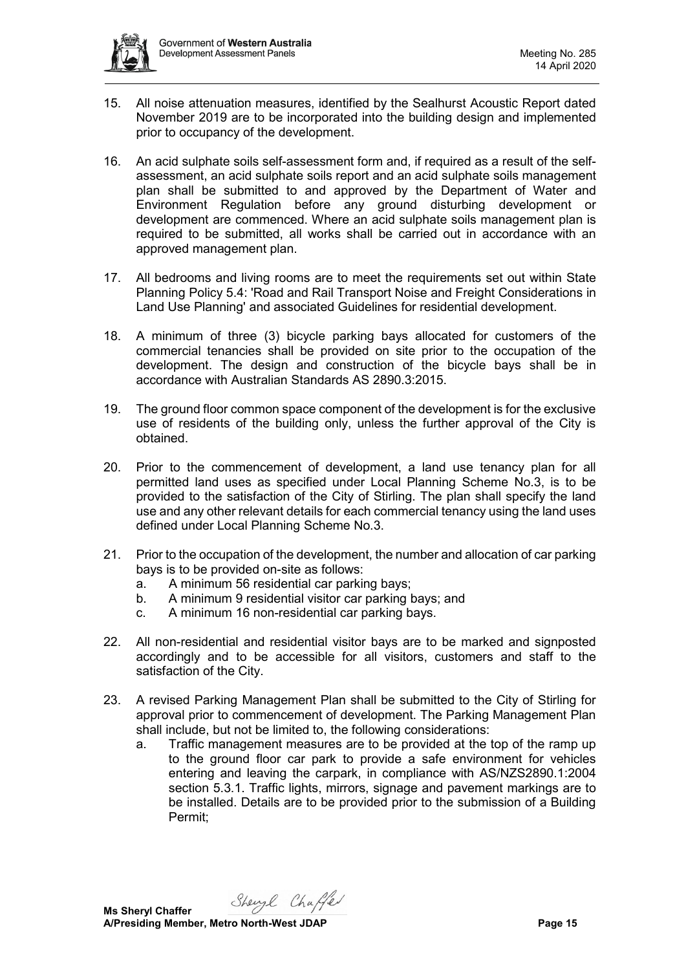

- 15. All noise attenuation measures, identified by the Sealhurst Acoustic Report dated November 2019 are to be incorporated into the building design and implemented prior to occupancy of the development.
- 16. An acid sulphate soils self-assessment form and, if required as a result of the selfassessment, an acid sulphate soils report and an acid sulphate soils management plan shall be submitted to and approved by the Department of Water and Environment Regulation before any ground disturbing development or development are commenced. Where an acid sulphate soils management plan is required to be submitted, all works shall be carried out in accordance with an approved management plan.
- 17. All bedrooms and living rooms are to meet the requirements set out within State Planning Policy 5.4: 'Road and Rail Transport Noise and Freight Considerations in Land Use Planning' and associated Guidelines for residential development.
- 18. A minimum of three (3) bicycle parking bays allocated for customers of the commercial tenancies shall be provided on site prior to the occupation of the development. The design and construction of the bicycle bays shall be in accordance with Australian Standards AS 2890.3:2015.
- 19. The ground floor common space component of the development is for the exclusive use of residents of the building only, unless the further approval of the City is obtained.
- 20. Prior to the commencement of development, a land use tenancy plan for all permitted land uses as specified under Local Planning Scheme No.3, is to be provided to the satisfaction of the City of Stirling. The plan shall specify the land use and any other relevant details for each commercial tenancy using the land uses defined under Local Planning Scheme No.3.
- 21. Prior to the occupation of the development, the number and allocation of car parking bays is to be provided on-site as follows:
	- a. A minimum 56 residential car parking bays;
	- b. A minimum 9 residential visitor car parking bays; and
	- c. A minimum 16 non-residential car parking bays.
- 22. All non-residential and residential visitor bays are to be marked and signposted accordingly and to be accessible for all visitors, customers and staff to the satisfaction of the City.
- 23. A revised Parking Management Plan shall be submitted to the City of Stirling for approval prior to commencement of development. The Parking Management Plan shall include, but not be limited to, the following considerations:
	- a. Traffic management measures are to be provided at the top of the ramp up to the ground floor car park to provide a safe environment for vehicles entering and leaving the carpark, in compliance with AS/NZS2890.1:2004 section 5.3.1. Traffic lights, mirrors, signage and pavement markings are to be installed. Details are to be provided prior to the submission of a Building Permit;

Shengl Chaffer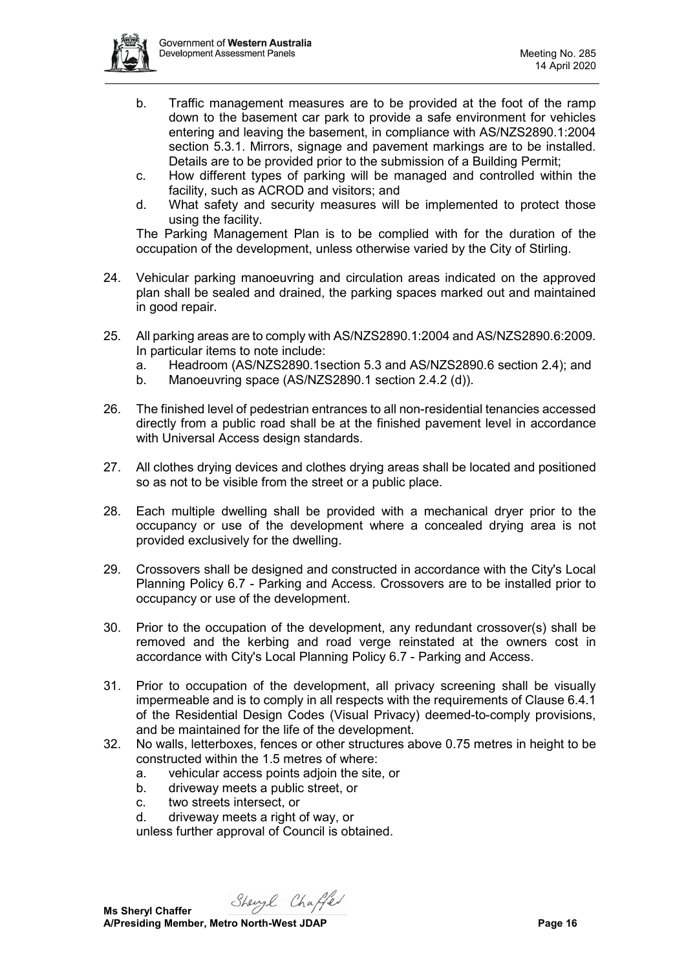

- b. Traffic management measures are to be provided at the foot of the ramp down to the basement car park to provide a safe environment for vehicles entering and leaving the basement, in compliance with AS/NZS2890.1:2004 section 5.3.1. Mirrors, signage and pavement markings are to be installed. Details are to be provided prior to the submission of a Building Permit;
- c. How different types of parking will be managed and controlled within the facility, such as ACROD and visitors; and
- d. What safety and security measures will be implemented to protect those using the facility.

The Parking Management Plan is to be complied with for the duration of the occupation of the development, unless otherwise varied by the City of Stirling.

- 24. Vehicular parking manoeuvring and circulation areas indicated on the approved plan shall be sealed and drained, the parking spaces marked out and maintained in good repair.
- 25. All parking areas are to comply with AS/NZS2890.1:2004 and AS/NZS2890.6:2009. In particular items to note include:
	- a. Headroom (AS/NZS2890.1section 5.3 and AS/NZS2890.6 section 2.4); and
	- b. Manoeuvring space (AS/NZS2890.1 section 2.4.2 (d)).
- 26. The finished level of pedestrian entrances to all non-residential tenancies accessed directly from a public road shall be at the finished pavement level in accordance with Universal Access design standards.
- 27. All clothes drying devices and clothes drying areas shall be located and positioned so as not to be visible from the street or a public place.
- 28. Each multiple dwelling shall be provided with a mechanical dryer prior to the occupancy or use of the development where a concealed drying area is not provided exclusively for the dwelling.
- 29. Crossovers shall be designed and constructed in accordance with the City's Local Planning Policy 6.7 - Parking and Access. Crossovers are to be installed prior to occupancy or use of the development.
- 30. Prior to the occupation of the development, any redundant crossover(s) shall be removed and the kerbing and road verge reinstated at the owners cost in accordance with City's Local Planning Policy 6.7 - Parking and Access.
- 31. Prior to occupation of the development, all privacy screening shall be visually impermeable and is to comply in all respects with the requirements of Clause 6.4.1 of the Residential Design Codes (Visual Privacy) deemed-to-comply provisions, and be maintained for the life of the development.
- 32. No walls, letterboxes, fences or other structures above 0.75 metres in height to be constructed within the 1.5 metres of where:
	- a. vehicular access points adjoin the site, or
	- b. driveway meets a public street, or
	- c. two streets intersect, or
	- d. driveway meets a right of way, or

unless further approval of Council is obtained.

Shengl Chaffer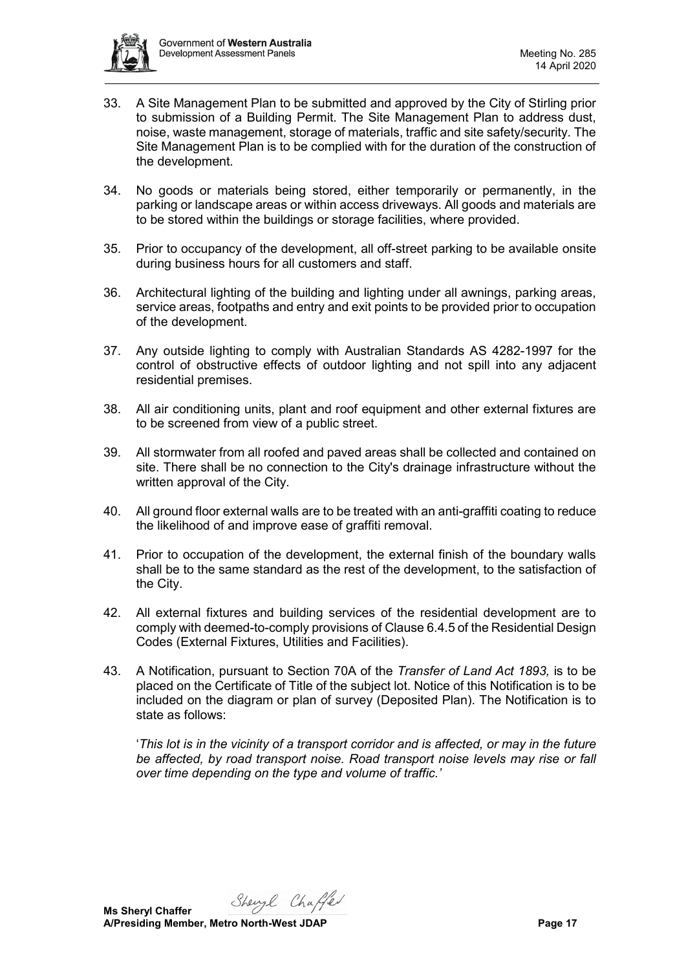

- 33. A Site Management Plan to be submitted and approved by the City of Stirling prior to submission of a Building Permit. The Site Management Plan to address dust, noise, waste management, storage of materials, traffic and site safety/security. The Site Management Plan is to be complied with for the duration of the construction of the development.
- 34. No goods or materials being stored, either temporarily or permanently, in the parking or landscape areas or within access driveways. All goods and materials are to be stored within the buildings or storage facilities, where provided.
- 35. Prior to occupancy of the development, all off-street parking to be available onsite during business hours for all customers and staff.
- 36. Architectural lighting of the building and lighting under all awnings, parking areas, service areas, footpaths and entry and exit points to be provided prior to occupation of the development.
- 37. Any outside lighting to comply with Australian Standards AS 4282-1997 for the control of obstructive effects of outdoor lighting and not spill into any adjacent residential premises.
- 38. All air conditioning units, plant and roof equipment and other external fixtures are to be screened from view of a public street.
- 39. All stormwater from all roofed and paved areas shall be collected and contained on site. There shall be no connection to the City's drainage infrastructure without the written approval of the City.
- 40. All ground floor external walls are to be treated with an anti-graffiti coating to reduce the likelihood of and improve ease of graffiti removal.
- 41. Prior to occupation of the development, the external finish of the boundary walls shall be to the same standard as the rest of the development, to the satisfaction of the City.
- 42. All external fixtures and building services of the residential development are to comply with deemed-to-comply provisions of Clause 6.4.5 of the Residential Design Codes (External Fixtures, Utilities and Facilities).
- 43. A Notification, pursuant to Section 70A of the *Transfer of Land Act 1893,* is to be placed on the Certificate of Title of the subject lot. Notice of this Notification is to be included on the diagram or plan of survey (Deposited Plan). The Notification is to state as follows:

'*This lot is in the vicinity of a transport corridor and is affected, or may in the future be affected, by road transport noise. Road transport noise levels may rise or fall over time depending on the type and volume of traffic.'*

Shengl Chaffer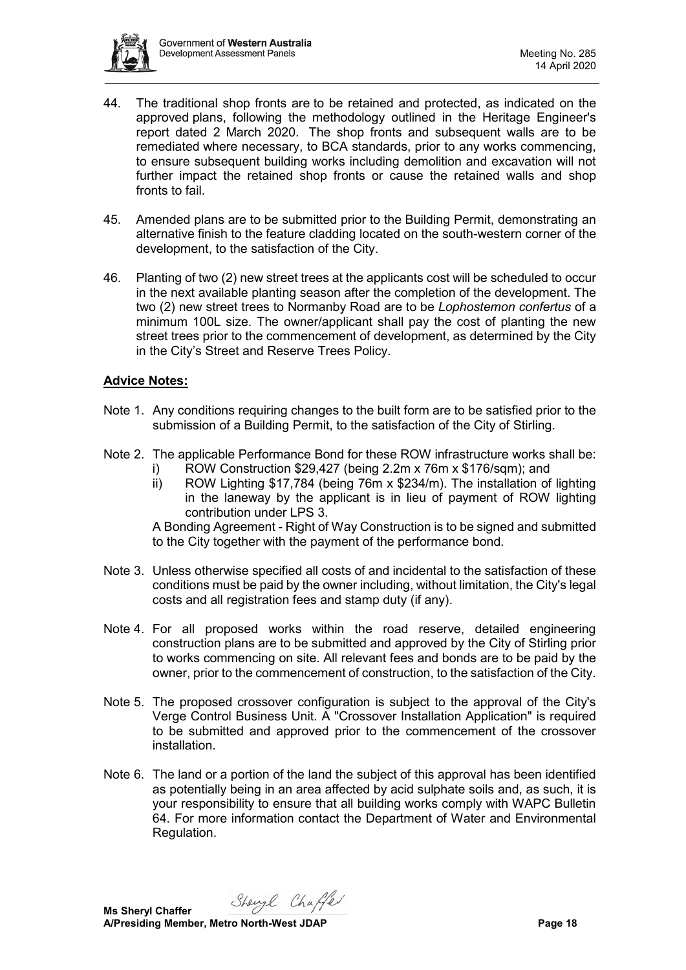

- 44. The traditional shop fronts are to be retained and protected, as indicated on the approved plans, following the methodology outlined in the Heritage Engineer's report dated 2 March 2020. The shop fronts and subsequent walls are to be remediated where necessary, to BCA standards, prior to any works commencing, to ensure subsequent building works including demolition and excavation will not further impact the retained shop fronts or cause the retained walls and shop fronts to fail.
- 45. Amended plans are to be submitted prior to the Building Permit, demonstrating an alternative finish to the feature cladding located on the south-western corner of the development, to the satisfaction of the City.
- 46. Planting of two (2) new street trees at the applicants cost will be scheduled to occur in the next available planting season after the completion of the development. The two (2) new street trees to Normanby Road are to be *Lophostemon confertus* of a minimum 100L size. The owner/applicant shall pay the cost of planting the new street trees prior to the commencement of development, as determined by the City in the City's Street and Reserve Trees Policy.

## **Advice Notes:**

- Note 1. Any conditions requiring changes to the built form are to be satisfied prior to the submission of a Building Permit, to the satisfaction of the City of Stirling.
- Note 2. The applicable Performance Bond for these ROW infrastructure works shall be:
	- i) ROW Construction \$29,427 (being 2.2m x 76m x \$176/sqm); and
	- ii) ROW Lighting \$17,784 (being 76m x \$234/m). The installation of lighting in the laneway by the applicant is in lieu of payment of ROW lighting contribution under LPS 3.

A Bonding Agreement - Right of Way Construction is to be signed and submitted to the City together with the payment of the performance bond.

- Note 3. Unless otherwise specified all costs of and incidental to the satisfaction of these conditions must be paid by the owner including, without limitation, the City's legal costs and all registration fees and stamp duty (if any).
- Note 4. For all proposed works within the road reserve, detailed engineering construction plans are to be submitted and approved by the City of Stirling prior to works commencing on site. All relevant fees and bonds are to be paid by the owner, prior to the commencement of construction, to the satisfaction of the City.
- Note 5. The proposed crossover configuration is subject to the approval of the City's Verge Control Business Unit. A "Crossover Installation Application" is required to be submitted and approved prior to the commencement of the crossover installation.
- Note 6. The land or a portion of the land the subject of this approval has been identified as potentially being in an area affected by acid sulphate soils and, as such, it is your responsibility to ensure that all building works comply with WAPC Bulletin 64. For more information contact the Department of Water and Environmental Regulation.

Shengl Chaffer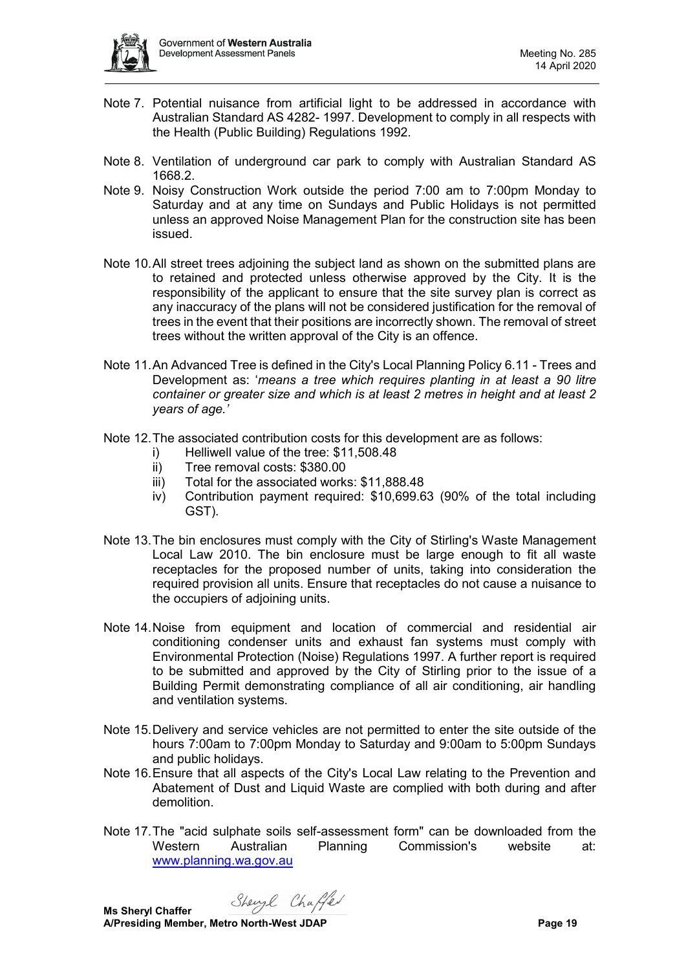

- Note 7. Potential nuisance from artificial light to be addressed in accordance with Australian Standard AS 4282- 1997. Development to comply in all respects with the Health (Public Building) Regulations 1992.
- Note 8. Ventilation of underground car park to comply with Australian Standard AS 1668.2.
- Note 9. Noisy Construction Work outside the period 7:00 am to 7:00pm Monday to Saturday and at any time on Sundays and Public Holidays is not permitted unless an approved Noise Management Plan for the construction site has been issued.
- Note 10.All street trees adjoining the subject land as shown on the submitted plans are to retained and protected unless otherwise approved by the City. It is the responsibility of the applicant to ensure that the site survey plan is correct as any inaccuracy of the plans will not be considered justification for the removal of trees in the event that their positions are incorrectly shown. The removal of street trees without the written approval of the City is an offence.
- Note 11.An Advanced Tree is defined in the City's Local Planning Policy 6.11 Trees and Development as: '*means a tree which requires planting in at least a 90 litre container or greater size and which is at least 2 metres in height and at least 2 years of age.'*
- Note 12.The associated contribution costs for this development are as follows:
	- i) Helliwell value of the tree: \$11,508.48
	- ii) Tree removal costs: \$380.00
	- iii) Total for the associated works: \$11,888.48
	- iv) Contribution payment required: \$10,699.63 (90% of the total including GST).
- Note 13.The bin enclosures must comply with the City of Stirling's Waste Management Local Law 2010. The bin enclosure must be large enough to fit all waste receptacles for the proposed number of units, taking into consideration the required provision all units. Ensure that receptacles do not cause a nuisance to the occupiers of adjoining units.
- Note 14.Noise from equipment and location of commercial and residential air conditioning condenser units and exhaust fan systems must comply with Environmental Protection (Noise) Regulations 1997. A further report is required to be submitted and approved by the City of Stirling prior to the issue of a Building Permit demonstrating compliance of all air conditioning, air handling and ventilation systems.
- Note 15.Delivery and service vehicles are not permitted to enter the site outside of the hours 7:00am to 7:00pm Monday to Saturday and 9:00am to 5:00pm Sundays and public holidays.
- Note 16.Ensure that all aspects of the City's Local Law relating to the Prevention and Abatement of Dust and Liquid Waste are complied with both during and after demolition.
- Note 17.The "acid sulphate soils self-assessment form" can be downloaded from the Western Australian Planning Commission's website at: [www.planning.wa.gov.au](http://www.planning.wa.gov.au/)

Shengl Chaffer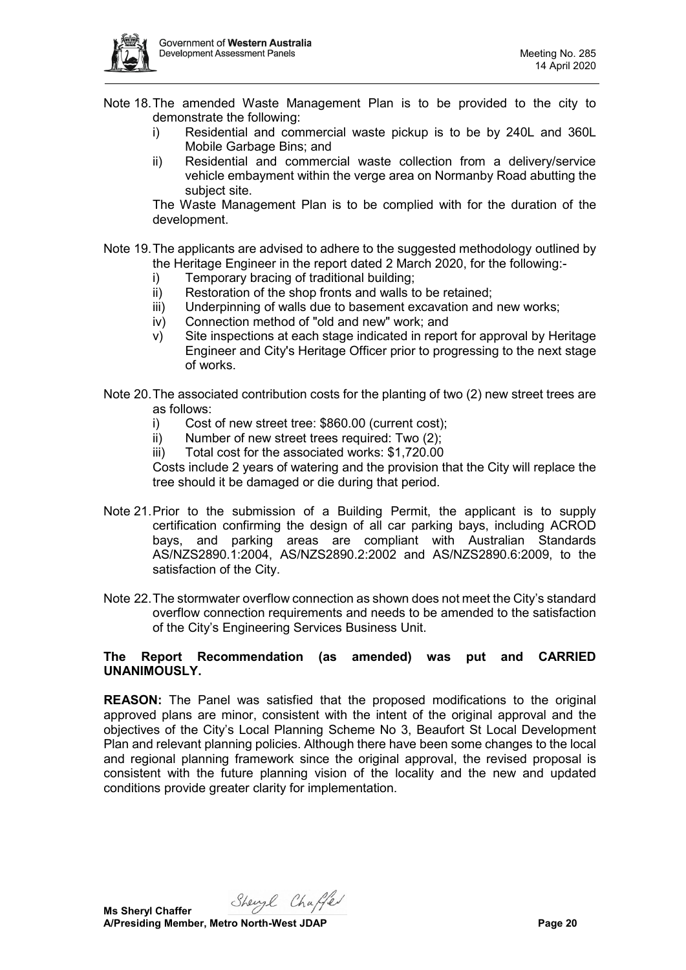

Note 18.The amended Waste Management Plan is to be provided to the city to demonstrate the following:

- i) Residential and commercial waste pickup is to be by 240L and 360L Mobile Garbage Bins; and
- ii) Residential and commercial waste collection from a delivery/service vehicle embayment within the verge area on Normanby Road abutting the subject site.

The Waste Management Plan is to be complied with for the duration of the development.

- Note 19.The applicants are advised to adhere to the suggested methodology outlined by the Heritage Engineer in the report dated 2 March 2020, for the following:
	- i) Temporary bracing of traditional building;
	- ii) Restoration of the shop fronts and walls to be retained;
	- iii) Underpinning of walls due to basement excavation and new works;
	- iv) Connection method of "old and new" work; and
	- $v$ ) Site inspections at each stage indicated in report for approval by Heritage Engineer and City's Heritage Officer prior to progressing to the next stage of works.
- Note 20.The associated contribution costs for the planting of two (2) new street trees are as follows:
	- i) Cost of new street tree: \$860.00 (current cost);<br>ii) Number of new street trees required: Two (2):
	- Number of new street trees required: Two  $(2)$ :
	- iii) Total cost for the associated works: \$1,720.00

Costs include 2 years of watering and the provision that the City will replace the tree should it be damaged or die during that period.

- Note 21.Prior to the submission of a Building Permit, the applicant is to supply certification confirming the design of all car parking bays, including ACROD bays, and parking areas are compliant with Australian Standards AS/NZS2890.1:2004, AS/NZS2890.2:2002 and AS/NZS2890.6:2009, to the satisfaction of the City.
- Note 22.The stormwater overflow connection as shown does not meet the City's standard overflow connection requirements and needs to be amended to the satisfaction of the City's Engineering Services Business Unit.

#### **The Report Recommendation (as amended) was put and CARRIED UNANIMOUSLY.**

**REASON:** The Panel was satisfied that the proposed modifications to the original approved plans are minor, consistent with the intent of the original approval and the objectives of the City's Local Planning Scheme No 3, Beaufort St Local Development Plan and relevant planning policies. Although there have been some changes to the local and regional planning framework since the original approval, the revised proposal is consistent with the future planning vision of the locality and the new and updated conditions provide greater clarity for implementation.

Shengl Chaffer